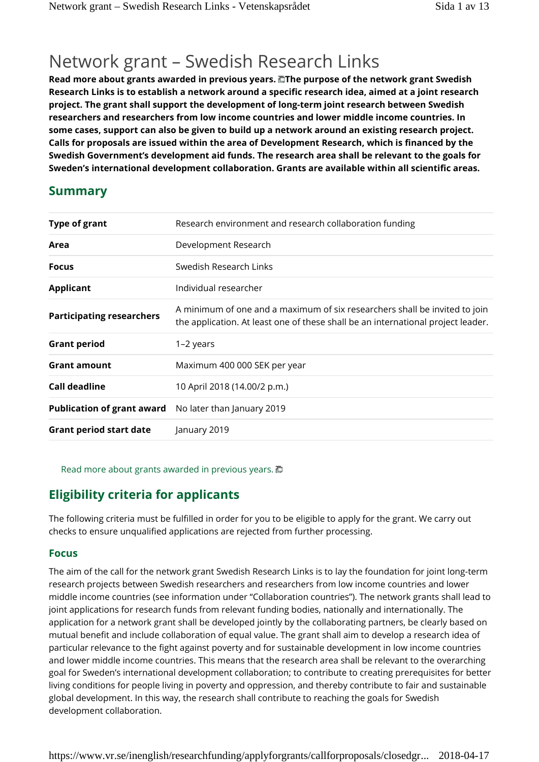## Network grant – Swedish Research Links

**Read more about grants awarded in previous years. The purpose of the network grant Swedish Research Links is to establish a network around a specific research idea, aimed at a joint research project. The grant shall support the development of long-term joint research between Swedish researchers and researchers from low income countries and lower middle income countries. In some cases, support can also be given to build up a network around an existing research project. Calls for proposals are issued within the area of Development Research, which is financed by the Swedish Government's development aid funds. The research area shall be relevant to the goals for Sweden's international development collaboration. Grants are available within all scientific areas.**

## **Summary**

| <b>Type of grant</b>              | Research environment and research collaboration funding                                                                                                        |
|-----------------------------------|----------------------------------------------------------------------------------------------------------------------------------------------------------------|
| Area                              | Development Research                                                                                                                                           |
| <b>Focus</b>                      | Swedish Research Links                                                                                                                                         |
| <b>Applicant</b>                  | Individual researcher                                                                                                                                          |
| <b>Participating researchers</b>  | A minimum of one and a maximum of six researchers shall be invited to join<br>the application. At least one of these shall be an international project leader. |
| <b>Grant period</b>               | 1-2 years                                                                                                                                                      |
| <b>Grant amount</b>               | Maximum 400 000 SEK per year                                                                                                                                   |
| Call deadline                     | 10 April 2018 (14.00/2 p.m.)                                                                                                                                   |
| <b>Publication of grant award</b> | No later than January 2019                                                                                                                                     |
| <b>Grant period start date</b>    | January 2019                                                                                                                                                   |
|                                   |                                                                                                                                                                |

Read more about grants awarded in previous years. **□** 

## **Eligibility criteria for applicants**

The following criteria must be fulfilled in order for you to be eligible to apply for the grant. We carry out checks to ensure unqualified applications are rejected from further processing.

### **Focus**

The aim of the call for the network grant Swedish Research Links is to lay the foundation for joint long-term research projects between Swedish researchers and researchers from low income countries and lower middle income countries (see information under "Collaboration countries"). The network grants shall lead to joint applications for research funds from relevant funding bodies, nationally and internationally. The application for a network grant shall be developed jointly by the collaborating partners, be clearly based on mutual benefit and include collaboration of equal value. The grant shall aim to develop a research idea of particular relevance to the fight against poverty and for sustainable development in low income countries and lower middle income countries. This means that the research area shall be relevant to the overarching goal for Sweden's international development collaboration; to contribute to creating prerequisites for better living conditions for people living in poverty and oppression, and thereby contribute to fair and sustainable global development. In this way, the research shall contribute to reaching the goals for Swedish development collaboration.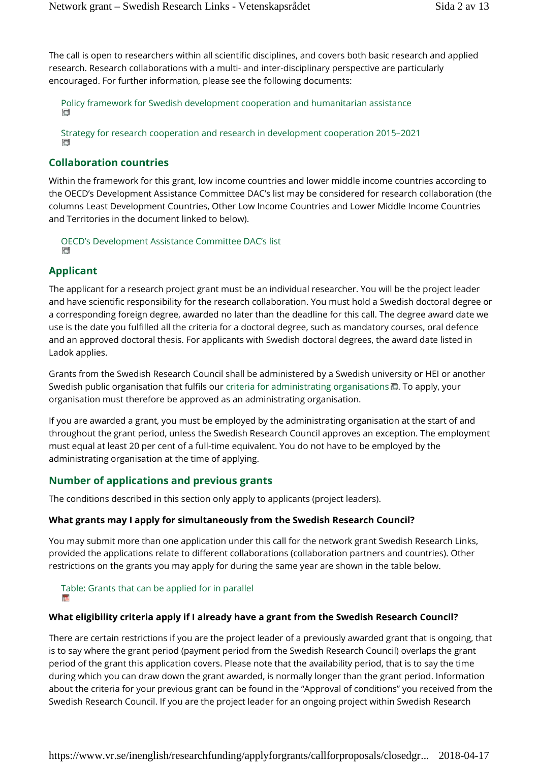The call is open to researchers within all scientific disciplines, and covers both basic research and applied research. Research collaborations with a multi- and inter-disciplinary perspective are particularly encouraged. For further information, please see the following documents:

Policy framework for Swedish development cooperation and humanitarian assistance

Strategy for research cooperation and research in development cooperation 2015–2021

#### **Collaboration countries**

Within the framework for this grant, low income countries and lower middle income countries according to the OECD's Development Assistance Committee DAC's list may be considered for research collaboration (the columns Least Development Countries, Other Low Income Countries and Lower Middle Income Countries and Territories in the document linked to below).

OECD's Development Assistance Committee DAC's list C

#### **Applicant**

The applicant for a research project grant must be an individual researcher. You will be the project leader and have scientific responsibility for the research collaboration. You must hold a Swedish doctoral degree or a corresponding foreign degree, awarded no later than the deadline for this call. The degree award date we use is the date you fulfilled all the criteria for a doctoral degree, such as mandatory courses, oral defence and an approved doctoral thesis. For applicants with Swedish doctoral degrees, the award date listed in Ladok applies.

Grants from the Swedish Research Council shall be administered by a Swedish university or HEI or another Swedish public organisation that fulfils our criteria for administrating organisations  $\Box$ . To apply, your organisation must therefore be approved as an administrating organisation.

If you are awarded a grant, you must be employed by the administrating organisation at the start of and throughout the grant period, unless the Swedish Research Council approves an exception. The employment must equal at least 20 per cent of a full-time equivalent. You do not have to be employed by the administrating organisation at the time of applying.

#### **Number of applications and previous grants**

The conditions described in this section only apply to applicants (project leaders).

#### **What grants may I apply for simultaneously from the Swedish Research Council?**

You may submit more than one application under this call for the network grant Swedish Research Links, provided the applications relate to different collaborations (collaboration partners and countries). Other restrictions on the grants you may apply for during the same year are shown in the table below.

# Table: Grants that can be applied for in parallel

#### **What eligibility criteria apply if I already have a grant from the Swedish Research Council?**

There are certain restrictions if you are the project leader of a previously awarded grant that is ongoing, that is to say where the grant period (payment period from the Swedish Research Council) overlaps the grant period of the grant this application covers. Please note that the availability period, that is to say the time during which you can draw down the grant awarded, is normally longer than the grant period. Information about the criteria for your previous grant can be found in the "Approval of conditions" you received from the Swedish Research Council. If you are the project leader for an ongoing project within Swedish Research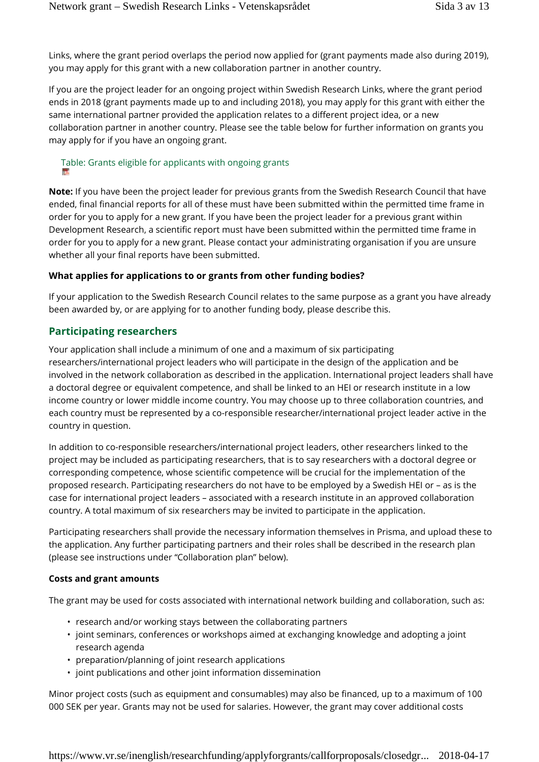Links, where the grant period overlaps the period now applied for (grant payments made also during 2019), you may apply for this grant with a new collaboration partner in another country.

If you are the project leader for an ongoing project within Swedish Research Links, where the grant period ends in 2018 (grant payments made up to and including 2018), you may apply for this grant with either the same international partner provided the application relates to a different project idea, or a new collaboration partner in another country. Please see the table below for further information on grants you may apply for if you have an ongoing grant.

# Table: Grants eligible for applicants with ongoing grants

**Note:** If you have been the project leader for previous grants from the Swedish Research Council that have ended, final financial reports for all of these must have been submitted within the permitted time frame in order for you to apply for a new grant. If you have been the project leader for a previous grant within Development Research, a scientific report must have been submitted within the permitted time frame in order for you to apply for a new grant. Please contact your administrating organisation if you are unsure whether all your final reports have been submitted.

#### **What applies for applications to or grants from other funding bodies?**

If your application to the Swedish Research Council relates to the same purpose as a grant you have already been awarded by, or are applying for to another funding body, please describe this.

#### **Participating researchers**

Your application shall include a minimum of one and a maximum of six participating researchers/international project leaders who will participate in the design of the application and be involved in the network collaboration as described in the application. International project leaders shall have a doctoral degree or equivalent competence, and shall be linked to an HEI or research institute in a low income country or lower middle income country. You may choose up to three collaboration countries, and each country must be represented by a co-responsible researcher/international project leader active in the country in question.

In addition to co-responsible researchers/international project leaders, other researchers linked to the project may be included as participating researchers, that is to say researchers with a doctoral degree or corresponding competence, whose scientific competence will be crucial for the implementation of the proposed research. Participating researchers do not have to be employed by a Swedish HEI or – as is the case for international project leaders – associated with a research institute in an approved collaboration country. A total maximum of six researchers may be invited to participate in the application.

Participating researchers shall provide the necessary information themselves in Prisma, and upload these to the application. Any further participating partners and their roles shall be described in the research plan (please see instructions under "Collaboration plan" below).

#### **Costs and grant amounts**

The grant may be used for costs associated with international network building and collaboration, such as:

- research and/or working stays between the collaborating partners
- joint seminars, conferences or workshops aimed at exchanging knowledge and adopting a joint research agenda
- preparation/planning of joint research applications
- joint publications and other joint information dissemination

Minor project costs (such as equipment and consumables) may also be financed, up to a maximum of 100 000 SEK per year. Grants may not be used for salaries. However, the grant may cover additional costs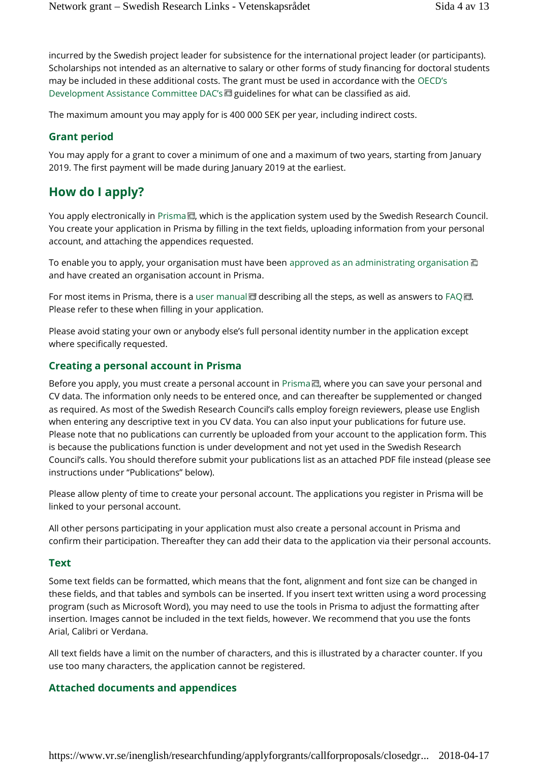incurred by the Swedish project leader for subsistence for the international project leader (or participants). Scholarships not intended as an alternative to salary or other forms of study financing for doctoral students may be included in these additional costs. The grant must be used in accordance with the OECD's Development Assistance Committee DAC's guidelines for what can be classified as aid.

The maximum amount you may apply for is 400 000 SEK per year, including indirect costs.

#### **Grant period**

You may apply for a grant to cover a minimum of one and a maximum of two years, starting from January 2019. The first payment will be made during January 2019 at the earliest.

## **How do I apply?**

You apply electronically in Prisma D, which is the application system used by the Swedish Research Council. You create your application in Prisma by filling in the text fields, uploading information from your personal account, and attaching the appendices requested.

To enable you to apply, your organisation must have been approved as an administrating organisation  $\Box$ and have created an organisation account in Prisma.

For most items in Prisma, there is a user manual describing all the steps, as well as answers to FAQ  $\Box$ . Please refer to these when filling in your application.

Please avoid stating your own or anybody else's full personal identity number in the application except where specifically requested.

#### **Creating a personal account in Prisma**

Before you apply, you must create a personal account in Prisma , where you can save your personal and CV data. The information only needs to be entered once, and can thereafter be supplemented or changed as required. As most of the Swedish Research Council's calls employ foreign reviewers, please use English when entering any descriptive text in you CV data. You can also input your publications for future use. Please note that no publications can currently be uploaded from your account to the application form. This is because the publications function is under development and not yet used in the Swedish Research Council's calls. You should therefore submit your publications list as an attached PDF file instead (please see instructions under "Publications" below).

Please allow plenty of time to create your personal account. The applications you register in Prisma will be linked to your personal account.

All other persons participating in your application must also create a personal account in Prisma and confirm their participation. Thereafter they can add their data to the application via their personal accounts.

#### **Text**

Some text fields can be formatted, which means that the font, alignment and font size can be changed in these fields, and that tables and symbols can be inserted. If you insert text written using a word processing program (such as Microsoft Word), you may need to use the tools in Prisma to adjust the formatting after insertion. Images cannot be included in the text fields, however. We recommend that you use the fonts Arial, Calibri or Verdana.

All text fields have a limit on the number of characters, and this is illustrated by a character counter. If you use too many characters, the application cannot be registered.

#### **Attached documents and appendices**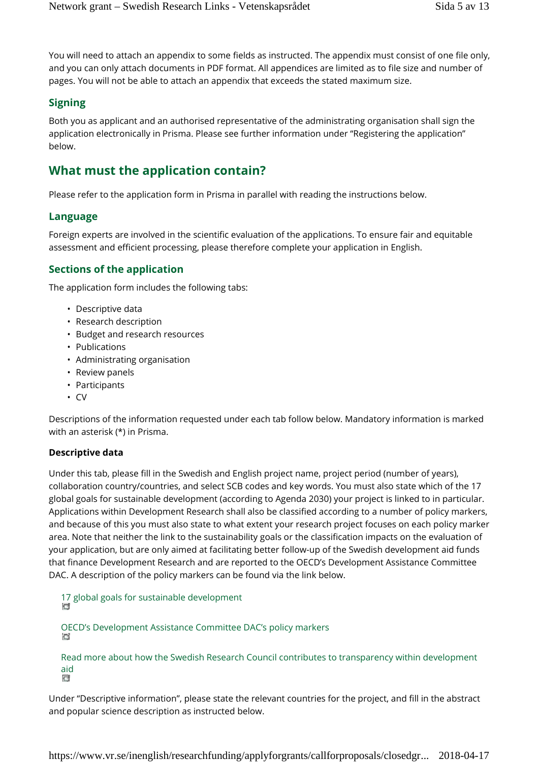You will need to attach an appendix to some fields as instructed. The appendix must consist of one file only, and you can only attach documents in PDF format. All appendices are limited as to file size and number of pages. You will not be able to attach an appendix that exceeds the stated maximum size.

#### **Signing**

Both you as applicant and an authorised representative of the administrating organisation shall sign the application electronically in Prisma. Please see further information under "Registering the application" below.

## **What must the application contain?**

Please refer to the application form in Prisma in parallel with reading the instructions below.

#### **Language**

Foreign experts are involved in the scientific evaluation of the applications. To ensure fair and equitable assessment and efficient processing, please therefore complete your application in English.

#### **Sections of the application**

The application form includes the following tabs:

- Descriptive data
- Research description
- Budget and research resources
- Publications
- Administrating organisation
- Review panels
- Participants
- CV

Descriptions of the information requested under each tab follow below. Mandatory information is marked with an asterisk (\*) in Prisma.

#### **Descriptive data**

Under this tab, please fill in the Swedish and English project name, project period (number of years), collaboration country/countries, and select SCB codes and key words. You must also state which of the 17 global goals for sustainable development (according to Agenda 2030) your project is linked to in particular. Applications within Development Research shall also be classified according to a number of policy markers, and because of this you must also state to what extent your research project focuses on each policy marker area. Note that neither the link to the sustainability goals or the classification impacts on the evaluation of your application, but are only aimed at facilitating better follow-up of the Swedish development aid funds that finance Development Research and are reported to the OECD's Development Assistance Committee DAC. A description of the policy markers can be found via the link below.

17 global goals for sustainable development

OECD's Development Assistance Committee DAC's policy markers G

Read more about how the Swedish Research Council contributes to transparency within development aid

Under "Descriptive information", please state the relevant countries for the project, and fill in the abstract and popular science description as instructed below.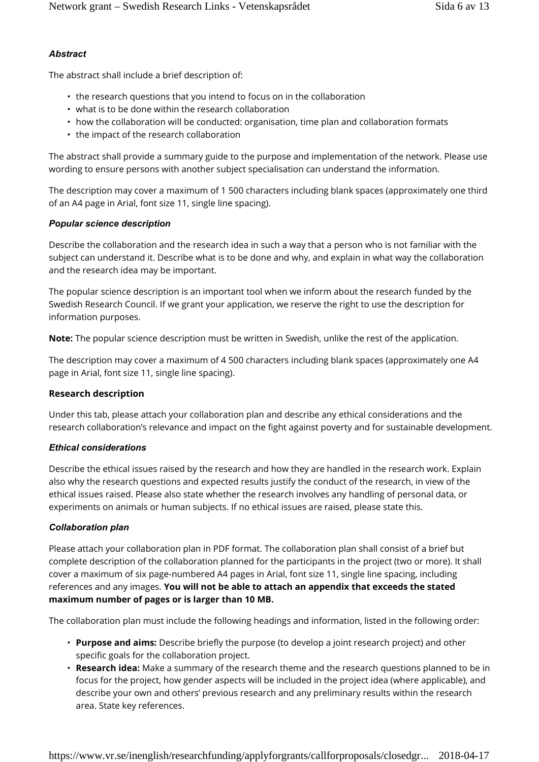#### *Abstract*

The abstract shall include a brief description of:

- the research questions that you intend to focus on in the collaboration
- what is to be done within the research collaboration
- how the collaboration will be conducted: organisation, time plan and collaboration formats
- the impact of the research collaboration

The abstract shall provide a summary guide to the purpose and implementation of the network. Please use wording to ensure persons with another subject specialisation can understand the information.

The description may cover a maximum of 1 500 characters including blank spaces (approximately one third of an A4 page in Arial, font size 11, single line spacing).

#### *Popular science description*

Describe the collaboration and the research idea in such a way that a person who is not familiar with the subject can understand it. Describe what is to be done and why, and explain in what way the collaboration and the research idea may be important.

The popular science description is an important tool when we inform about the research funded by the Swedish Research Council. If we grant your application, we reserve the right to use the description for information purposes.

**Note:** The popular science description must be written in Swedish, unlike the rest of the application.

The description may cover a maximum of 4 500 characters including blank spaces (approximately one A4 page in Arial, font size 11, single line spacing).

#### **Research description**

Under this tab, please attach your collaboration plan and describe any ethical considerations and the research collaboration's relevance and impact on the fight against poverty and for sustainable development.

#### *Ethical considerations*

Describe the ethical issues raised by the research and how they are handled in the research work. Explain also why the research questions and expected results justify the conduct of the research, in view of the ethical issues raised. Please also state whether the research involves any handling of personal data, or experiments on animals or human subjects. If no ethical issues are raised, please state this.

#### *Collaboration plan*

Please attach your collaboration plan in PDF format. The collaboration plan shall consist of a brief but complete description of the collaboration planned for the participants in the project (two or more). It shall cover a maximum of six page-numbered A4 pages in Arial, font size 11, single line spacing, including references and any images. **You will not be able to attach an appendix that exceeds the stated maximum number of pages or is larger than 10 MB.**

The collaboration plan must include the following headings and information, listed in the following order:

- **Purpose and aims:** Describe briefly the purpose (to develop a joint research project) and other specific goals for the collaboration project.
- **Research idea:** Make a summary of the research theme and the research questions planned to be in focus for the project, how gender aspects will be included in the project idea (where applicable), and describe your own and others' previous research and any preliminary results within the research area. State key references.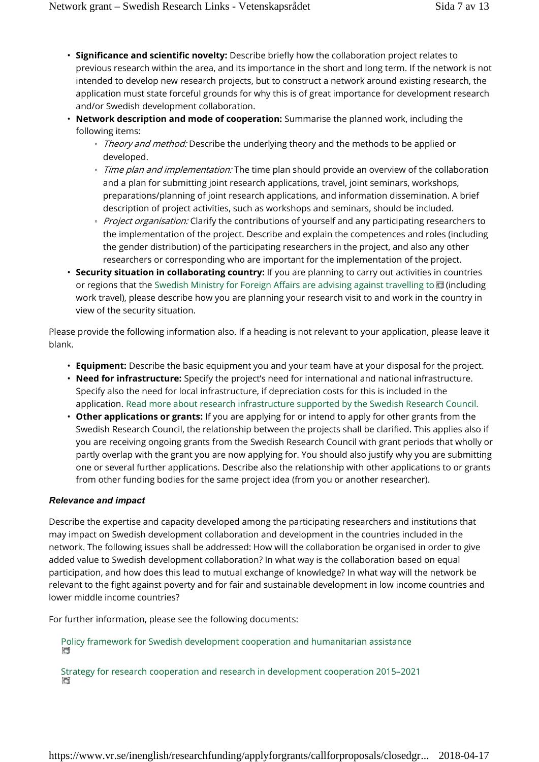- **Significance and scientific novelty:** Describe briefly how the collaboration project relates to previous research within the area, and its importance in the short and long term. If the network is not intended to develop new research projects, but to construct a network around existing research, the application must state forceful grounds for why this is of great importance for development research and/or Swedish development collaboration.
- **Network description and mode of cooperation:** Summarise the planned work, including the following items:

*Theory and method:* Describe the underlying theory and the methods to be applied or developed.

*Time plan and implementation:* The time plan should provide an overview of the collaboration and a plan for submitting joint research applications, travel, joint seminars, workshops, preparations/planning of joint research applications, and information dissemination. A brief description of project activities, such as workshops and seminars, should be included. *Project organisation:* Clarify the contributions of yourself and any participating researchers to the implementation of the project. Describe and explain the competences and roles (including the gender distribution) of the participating researchers in the project, and also any other researchers or corresponding who are important for the implementation of the project.

• **Security situation in collaborating country:** If you are planning to carry out activities in countries or regions that the Swedish Ministry for Foreign Affairs are advising against travelling to  $\blacksquare$  (including work travel), please describe how you are planning your research visit to and work in the country in view of the security situation.

Please provide the following information also. If a heading is not relevant to your application, please leave it blank.

- **Equipment:** Describe the basic equipment you and your team have at your disposal for the project.
- **Need for infrastructure:** Specify the project's need for international and national infrastructure. Specify also the need for local infrastructure, if depreciation costs for this is included in the application. Read more about research infrastructure supported by the Swedish Research Council.
- **Other applications or grants:** If you are applying for or intend to apply for other grants from the Swedish Research Council, the relationship between the projects shall be clarified. This applies also if you are receiving ongoing grants from the Swedish Research Council with grant periods that wholly or partly overlap with the grant you are now applying for. You should also justify why you are submitting one or several further applications. Describe also the relationship with other applications to or grants from other funding bodies for the same project idea (from you or another researcher).

#### *Relevance and impact*

Describe the expertise and capacity developed among the participating researchers and institutions that may impact on Swedish development collaboration and development in the countries included in the network. The following issues shall be addressed: How will the collaboration be organised in order to give added value to Swedish development collaboration? In what way is the collaboration based on equal participation, and how does this lead to mutual exchange of knowledge? In what way will the network be relevant to the fight against poverty and for fair and sustainable development in low income countries and lower middle income countries?

For further information, please see the following documents:

Policy framework for Swedish development cooperation and humanitarian assistance **CT** 

Strategy for research cooperation and research in development cooperation 2015–2021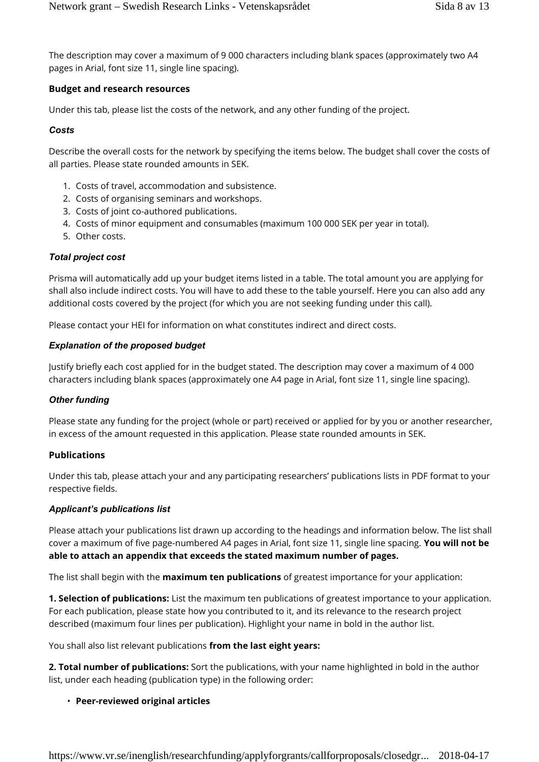The description may cover a maximum of 9 000 characters including blank spaces (approximately two A4 pages in Arial, font size 11, single line spacing).

#### **Budget and research resources**

Under this tab, please list the costs of the network, and any other funding of the project.

#### *Costs*

Describe the overall costs for the network by specifying the items below. The budget shall cover the costs of all parties. Please state rounded amounts in SEK.

- 1. Costs of travel, accommodation and subsistence.
- 2. Costs of organising seminars and workshops.
- 3. Costs of joint co-authored publications.
- 4. Costs of minor equipment and consumables (maximum 100 000 SEK per year in total).
- 5. Other costs.

#### *Total project cost*

Prisma will automatically add up your budget items listed in a table. The total amount you are applying for shall also include indirect costs. You will have to add these to the table yourself. Here you can also add any additional costs covered by the project (for which you are not seeking funding under this call).

Please contact your HEI for information on what constitutes indirect and direct costs.

#### *Explanation of the proposed budget*

Justify briefly each cost applied for in the budget stated. The description may cover a maximum of 4 000 characters including blank spaces (approximately one A4 page in Arial, font size 11, single line spacing).

#### *Other funding*

Please state any funding for the project (whole or part) received or applied for by you or another researcher, in excess of the amount requested in this application. Please state rounded amounts in SEK.

#### **Publications**

Under this tab, please attach your and any participating researchers' publications lists in PDF format to your respective fields.

#### *Applicant's publications list*

Please attach your publications list drawn up according to the headings and information below. The list shall cover a maximum of five page-numbered A4 pages in Arial, font size 11, single line spacing. **You will not be able to attach an appendix that exceeds the stated maximum number of pages.**

The list shall begin with the **maximum ten publications** of greatest importance for your application:

**1. Selection of publications:** List the maximum ten publications of greatest importance to your application. For each publication, please state how you contributed to it, and its relevance to the research project described (maximum four lines per publication). Highlight your name in bold in the author list.

You shall also list relevant publications **from the last eight years:**

**2. Total number of publications:** Sort the publications, with your name highlighted in bold in the author list, under each heading (publication type) in the following order:

#### • **Peer-reviewed original articles**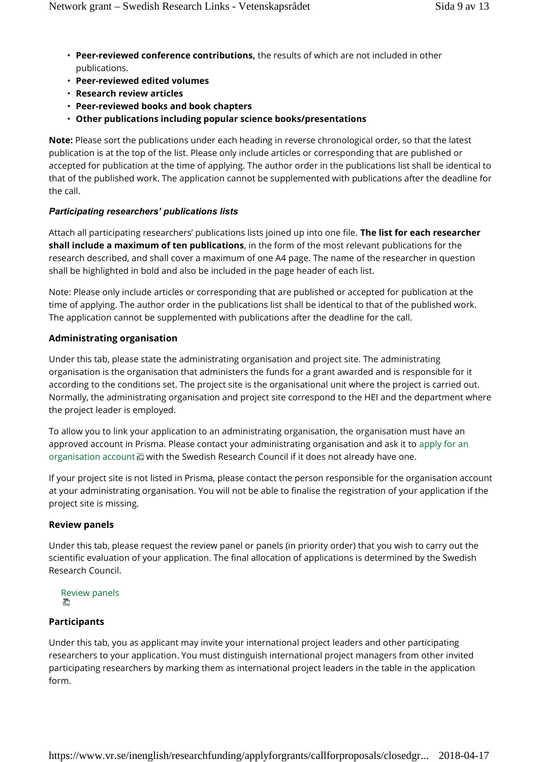- **Peer-reviewed conference contributions,** the results of which are not included in other publications.
- **Peer-reviewed edited volumes**
- **Research review articles**
- **Peer-reviewed books and book chapters**
- **Other publications including popular science books/presentations**

**Note:** Please sort the publications under each heading in reverse chronological order, so that the latest publication is at the top of the list. Please only include articles or corresponding that are published or accepted for publication at the time of applying. The author order in the publications list shall be identical to that of the published work. The application cannot be supplemented with publications after the deadline for the call.

#### *Participating researchers' publications lists*

Attach all participating researchers' publications lists joined up into one file. **The list for each researcher shall include a maximum of ten publications**, in the form of the most relevant publications for the research described, and shall cover a maximum of one A4 page. The name of the researcher in question shall be highlighted in bold and also be included in the page header of each list.

Note: Please only include articles or corresponding that are published or accepted for publication at the time of applying. The author order in the publications list shall be identical to that of the published work. The application cannot be supplemented with publications after the deadline for the call.

#### **Administrating organisation**

Under this tab, please state the administrating organisation and project site. The administrating organisation is the organisation that administers the funds for a grant awarded and is responsible for it according to the conditions set. The project site is the organisational unit where the project is carried out. Normally, the administrating organisation and project site correspond to the HEI and the department where the project leader is employed.

To allow you to link your application to an administrating organisation, the organisation must have an approved account in Prisma. Please contact your administrating organisation and ask it to apply for an organisation account  $\Box$  with the Swedish Research Council if it does not already have one.

If your project site is not listed in Prisma, please contact the person responsible for the organisation account at your administrating organisation. You will not be able to finalise the registration of your application if the project site is missing.

#### **Review panels**

Under this tab, please request the review panel or panels (in priority order) that you wish to carry out the scientific evaluation of your application. The final allocation of applications is determined by the Swedish Research Council.

```
Review panels
```
#### **Participants**

Under this tab, you as applicant may invite your international project leaders and other participating researchers to your application. You must distinguish international project managers from other invited participating researchers by marking them as international project leaders in the table in the application form.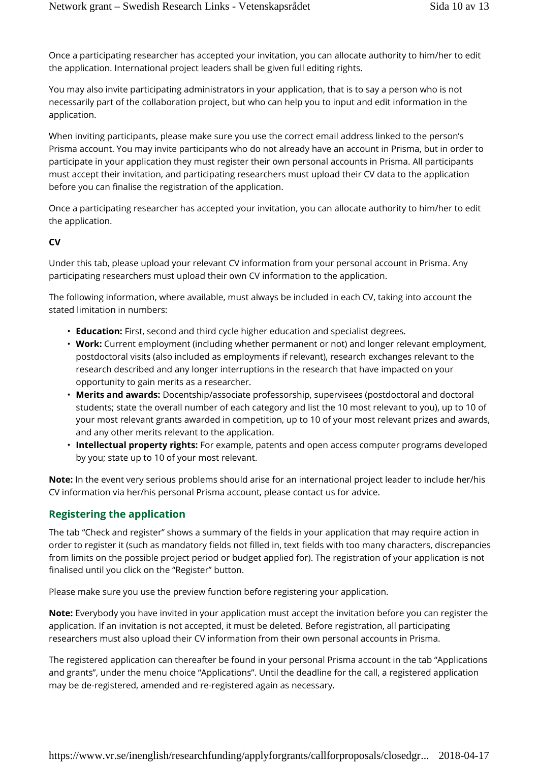Once a participating researcher has accepted your invitation, you can allocate authority to him/her to edit the application. International project leaders shall be given full editing rights.

You may also invite participating administrators in your application, that is to say a person who is not necessarily part of the collaboration project, but who can help you to input and edit information in the application.

When inviting participants, please make sure you use the correct email address linked to the person's Prisma account. You may invite participants who do not already have an account in Prisma, but in order to participate in your application they must register their own personal accounts in Prisma. All participants must accept their invitation, and participating researchers must upload their CV data to the application before you can finalise the registration of the application.

Once a participating researcher has accepted your invitation, you can allocate authority to him/her to edit the application.

#### **CV**

Under this tab, please upload your relevant CV information from your personal account in Prisma. Any participating researchers must upload their own CV information to the application.

The following information, where available, must always be included in each CV, taking into account the stated limitation in numbers:

- **Education:** First, second and third cycle higher education and specialist degrees.
- **Work:** Current employment (including whether permanent or not) and longer relevant employment, postdoctoral visits (also included as employments if relevant), research exchanges relevant to the research described and any longer interruptions in the research that have impacted on your opportunity to gain merits as a researcher.
- **Merits and awards:** Docentship/associate professorship, supervisees (postdoctoral and doctoral students; state the overall number of each category and list the 10 most relevant to you), up to 10 of your most relevant grants awarded in competition, up to 10 of your most relevant prizes and awards, and any other merits relevant to the application.
- **Intellectual property rights:** For example, patents and open access computer programs developed by you; state up to 10 of your most relevant.

**Note:** In the event very serious problems should arise for an international project leader to include her/his CV information via her/his personal Prisma account, please contact us for advice.

#### **Registering the application**

The tab "Check and register" shows a summary of the fields in your application that may require action in order to register it (such as mandatory fields not filled in, text fields with too many characters, discrepancies from limits on the possible project period or budget applied for). The registration of your application is not finalised until you click on the "Register" button.

Please make sure you use the preview function before registering your application.

**Note:** Everybody you have invited in your application must accept the invitation before you can register the application. If an invitation is not accepted, it must be deleted. Before registration, all participating researchers must also upload their CV information from their own personal accounts in Prisma.

The registered application can thereafter be found in your personal Prisma account in the tab "Applications and grants", under the menu choice "Applications". Until the deadline for the call, a registered application may be de-registered, amended and re-registered again as necessary.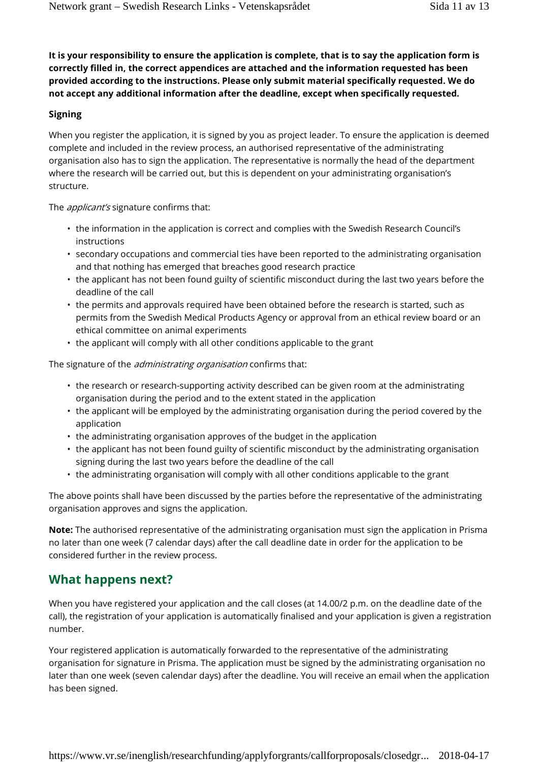**It is your responsibility to ensure the application is complete, that is to say the application form is correctly filled in, the correct appendices are attached and the information requested has been provided according to the instructions. Please only submit material specifically requested. We do not accept any additional information after the deadline, except when specifically requested.**

#### **Signing**

When you register the application, it is signed by you as project leader. To ensure the application is deemed complete and included in the review process, an authorised representative of the administrating organisation also has to sign the application. The representative is normally the head of the department where the research will be carried out, but this is dependent on your administrating organisation's structure.

The *applicant's* signature confirms that:

- the information in the application is correct and complies with the Swedish Research Council's instructions
- secondary occupations and commercial ties have been reported to the administrating organisation and that nothing has emerged that breaches good research practice
- the applicant has not been found guilty of scientific misconduct during the last two years before the deadline of the call
- the permits and approvals required have been obtained before the research is started, such as permits from the Swedish Medical Products Agency or approval from an ethical review board or an ethical committee on animal experiments
- the applicant will comply with all other conditions applicable to the grant

The signature of the *administrating organisation* confirms that:

- the research or research-supporting activity described can be given room at the administrating organisation during the period and to the extent stated in the application
- the applicant will be employed by the administrating organisation during the period covered by the application
- the administrating organisation approves of the budget in the application
- the applicant has not been found guilty of scientific misconduct by the administrating organisation signing during the last two years before the deadline of the call
- the administrating organisation will comply with all other conditions applicable to the grant

The above points shall have been discussed by the parties before the representative of the administrating organisation approves and signs the application.

**Note:** The authorised representative of the administrating organisation must sign the application in Prisma no later than one week (7 calendar days) after the call deadline date in order for the application to be considered further in the review process.

### **What happens next?**

When you have registered your application and the call closes (at 14.00/2 p.m. on the deadline date of the call), the registration of your application is automatically finalised and your application is given a registration number.

Your registered application is automatically forwarded to the representative of the administrating organisation for signature in Prisma. The application must be signed by the administrating organisation no later than one week (seven calendar days) after the deadline. You will receive an email when the application has been signed.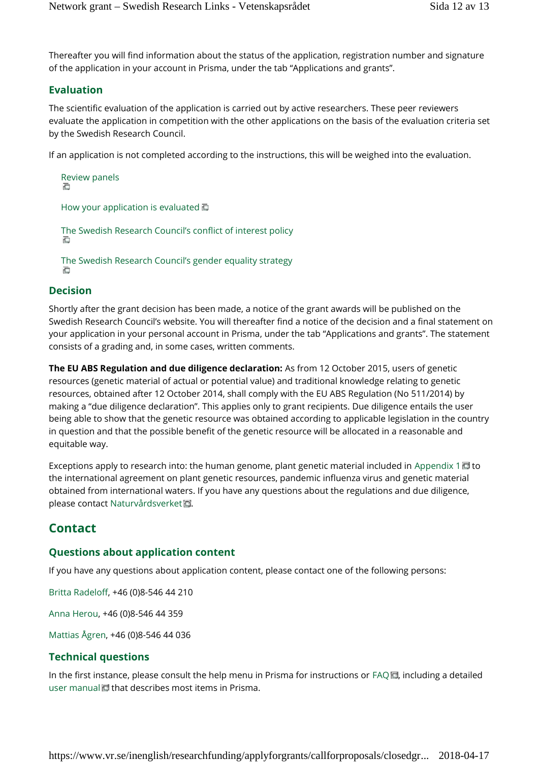Thereafter you will find information about the status of the application, registration number and signature of the application in your account in Prisma, under the tab "Applications and grants".

## **Evaluation**

The scientific evaluation of the application is carried out by active researchers. These peer reviewers evaluate the application in competition with the other applications on the basis of the evaluation criteria set by the Swedish Research Council.

If an application is not completed according to the instructions, this will be weighed into the evaluation.

```
Review panels
石
How your application is evaluated
```

```
The Swedish Research Council's conflict of interest policy
```
The Swedish Research Council's gender equality strategy

## **Decision**

Shortly after the grant decision has been made, a notice of the grant awards will be published on the Swedish Research Council's website. You will thereafter find a notice of the decision and a final statement on your application in your personal account in Prisma, under the tab "Applications and grants". The statement consists of a grading and, in some cases, written comments.

**The EU ABS Regulation and due diligence declaration:** As from 12 October 2015, users of genetic resources (genetic material of actual or potential value) and traditional knowledge relating to genetic resources, obtained after 12 October 2014, shall comply with the EU ABS Regulation (No 511/2014) by making a "due diligence declaration". This applies only to grant recipients. Due diligence entails the user being able to show that the genetic resource was obtained according to applicable legislation in the country in question and that the possible benefit of the genetic resource will be allocated in a reasonable and equitable way.

Exceptions apply to research into: the human genome, plant genetic material included in Appendix 1  $\blacksquare$  to the international agreement on plant genetic resources, pandemic influenza virus and genetic material obtained from international waters. If you have any questions about the regulations and due diligence, please contact Naturvårdsverket回.

## **Contact**

## **Questions about application content**

If you have any questions about application content, please contact one of the following persons:

Britta Radeloff, +46 (0)8-546 44 210

Anna Herou, +46 (0)8-546 44 359

Mattias Ågren, +46 (0)8-546 44 036

## **Technical questions**

In the first instance, please consult the help menu in Prisma for instructions or FAQ $\Box$ , including a detailed user manual **d** that describes most items in Prisma.